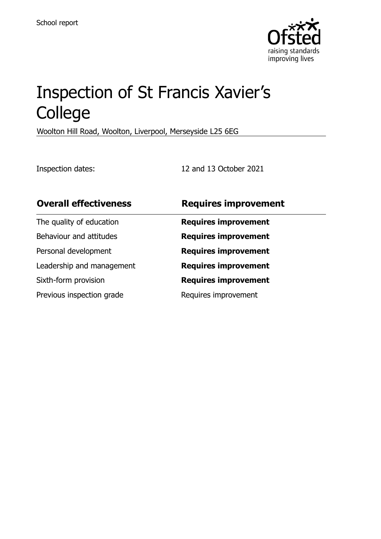

# Inspection of St Francis Xavier's College

Woolton Hill Road, Woolton, Liverpool, Merseyside L25 6EG

Inspection dates: 12 and 13 October 2021

| <b>Overall effectiveness</b> | <b>Requires improvement</b> |
|------------------------------|-----------------------------|
| The quality of education     | <b>Requires improvement</b> |
| Behaviour and attitudes      | <b>Requires improvement</b> |
| Personal development         | <b>Requires improvement</b> |
| Leadership and management    | <b>Requires improvement</b> |
| Sixth-form provision         | <b>Requires improvement</b> |
| Previous inspection grade    | Requires improvement        |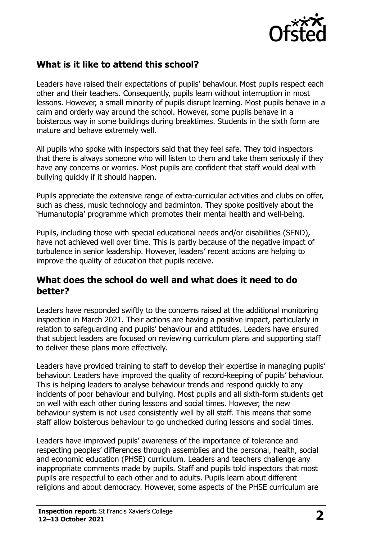

# **What is it like to attend this school?**

Leaders have raised their expectations of pupils' behaviour. Most pupils respect each other and their teachers. Consequently, pupils learn without interruption in most lessons. However, a small minority of pupils disrupt learning. Most pupils behave in a calm and orderly way around the school. However, some pupils behave in a boisterous way in some buildings during breaktimes. Students in the sixth form are mature and behave extremely well.

All pupils who spoke with inspectors said that they feel safe. They told inspectors that there is always someone who will listen to them and take them seriously if they have any concerns or worries. Most pupils are confident that staff would deal with bullying quickly if it should happen.

Pupils appreciate the extensive range of extra-curricular activities and clubs on offer, such as chess, music technology and badminton. They spoke positively about the 'Humanutopia' programme which promotes their mental health and well-being.

Pupils, including those with special educational needs and/or disabilities (SEND), have not achieved well over time. This is partly because of the negative impact of turbulence in senior leadership. However, leaders' recent actions are helping to improve the quality of education that pupils receive.

#### **What does the school do well and what does it need to do better?**

Leaders have responded swiftly to the concerns raised at the additional monitoring inspection in March 2021. Their actions are having a positive impact, particularly in relation to safeguarding and pupils' behaviour and attitudes. Leaders have ensured that subject leaders are focused on reviewing curriculum plans and supporting staff to deliver these plans more effectively.

Leaders have provided training to staff to develop their expertise in managing pupils' behaviour. Leaders have improved the quality of record-keeping of pupils' behaviour. This is helping leaders to analyse behaviour trends and respond quickly to any incidents of poor behaviour and bullying. Most pupils and all sixth-form students get on well with each other during lessons and social times. However, the new behaviour system is not used consistently well by all staff. This means that some staff allow boisterous behaviour to go unchecked during lessons and social times.

Leaders have improved pupils' awareness of the importance of tolerance and respecting peoples' differences through assemblies and the personal, health, social and economic education (PHSE) curriculum. Leaders and teachers challenge any inappropriate comments made by pupils. Staff and pupils told inspectors that most pupils are respectful to each other and to adults. Pupils learn about different religions and about democracy. However, some aspects of the PHSE curriculum are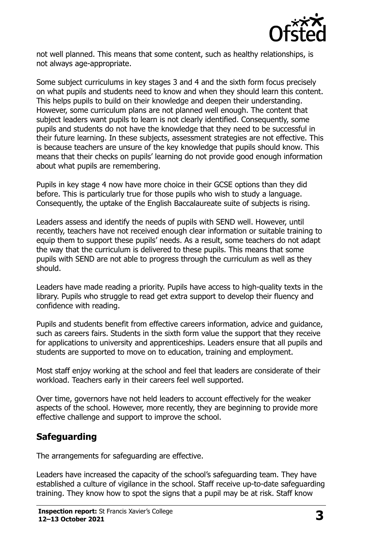

not well planned. This means that some content, such as healthy relationships, is not always age-appropriate.

Some subject curriculums in key stages 3 and 4 and the sixth form focus precisely on what pupils and students need to know and when they should learn this content. This helps pupils to build on their knowledge and deepen their understanding. However, some curriculum plans are not planned well enough. The content that subject leaders want pupils to learn is not clearly identified. Consequently, some pupils and students do not have the knowledge that they need to be successful in their future learning. In these subjects, assessment strategies are not effective. This is because teachers are unsure of the key knowledge that pupils should know. This means that their checks on pupils' learning do not provide good enough information about what pupils are remembering.

Pupils in key stage 4 now have more choice in their GCSE options than they did before. This is particularly true for those pupils who wish to study a language. Consequently, the uptake of the English Baccalaureate suite of subjects is rising.

Leaders assess and identify the needs of pupils with SEND well. However, until recently, teachers have not received enough clear information or suitable training to equip them to support these pupils' needs. As a result, some teachers do not adapt the way that the curriculum is delivered to these pupils. This means that some pupils with SEND are not able to progress through the curriculum as well as they should.

Leaders have made reading a priority. Pupils have access to high-quality texts in the library. Pupils who struggle to read get extra support to develop their fluency and confidence with reading.

Pupils and students benefit from effective careers information, advice and guidance, such as careers fairs. Students in the sixth form value the support that they receive for applications to university and apprenticeships. Leaders ensure that all pupils and students are supported to move on to education, training and employment.

Most staff enjoy working at the school and feel that leaders are considerate of their workload. Teachers early in their careers feel well supported.

Over time, governors have not held leaders to account effectively for the weaker aspects of the school. However, more recently, they are beginning to provide more effective challenge and support to improve the school.

## **Safeguarding**

The arrangements for safeguarding are effective.

Leaders have increased the capacity of the school's safeguarding team. They have established a culture of vigilance in the school. Staff receive up-to-date safeguarding training. They know how to spot the signs that a pupil may be at risk. Staff know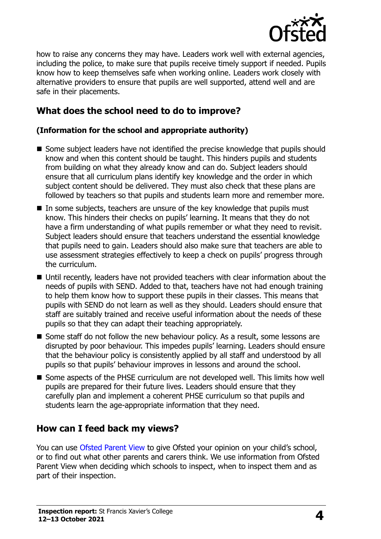

how to raise any concerns they may have. Leaders work well with external agencies, including the police, to make sure that pupils receive timely support if needed. Pupils know how to keep themselves safe when working online. Leaders work closely with alternative providers to ensure that pupils are well supported, attend well and are safe in their placements.

# **What does the school need to do to improve?**

#### **(Information for the school and appropriate authority)**

- Some subject leaders have not identified the precise knowledge that pupils should know and when this content should be taught. This hinders pupils and students from building on what they already know and can do. Subject leaders should ensure that all curriculum plans identify key knowledge and the order in which subject content should be delivered. They must also check that these plans are followed by teachers so that pupils and students learn more and remember more.
- In some subjects, teachers are unsure of the key knowledge that pupils must know. This hinders their checks on pupils' learning. It means that they do not have a firm understanding of what pupils remember or what they need to revisit. Subject leaders should ensure that teachers understand the essential knowledge that pupils need to gain. Leaders should also make sure that teachers are able to use assessment strategies effectively to keep a check on pupils' progress through the curriculum.
- Until recently, leaders have not provided teachers with clear information about the needs of pupils with SEND. Added to that, teachers have not had enough training to help them know how to support these pupils in their classes. This means that pupils with SEND do not learn as well as they should. Leaders should ensure that staff are suitably trained and receive useful information about the needs of these pupils so that they can adapt their teaching appropriately.
- Some staff do not follow the new behaviour policy. As a result, some lessons are disrupted by poor behaviour. This impedes pupils' learning. Leaders should ensure that the behaviour policy is consistently applied by all staff and understood by all pupils so that pupils' behaviour improves in lessons and around the school.
- Some aspects of the PHSE curriculum are not developed well. This limits how well pupils are prepared for their future lives. Leaders should ensure that they carefully plan and implement a coherent PHSE curriculum so that pupils and students learn the age-appropriate information that they need.

## **How can I feed back my views?**

You can use [Ofsted Parent View](http://parentview.ofsted.gov.uk/) to give Ofsted your opinion on your child's school, or to find out what other parents and carers think. We use information from Ofsted Parent View when deciding which schools to inspect, when to inspect them and as part of their inspection.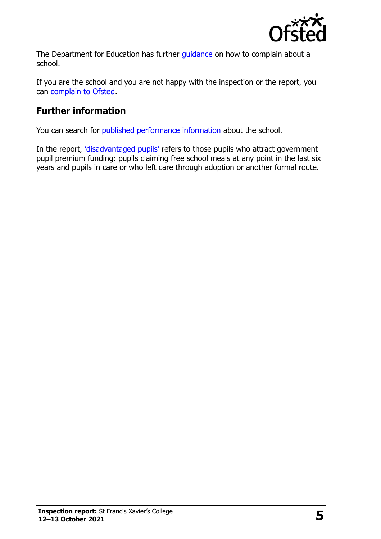

The Department for Education has further quidance on how to complain about a school.

If you are the school and you are not happy with the inspection or the report, you can [complain to Ofsted.](http://www.gov.uk/complain-ofsted-report)

# **Further information**

You can search for [published performance information](http://www.compare-school-performance.service.gov.uk/) about the school.

In the report, '[disadvantaged pupils](http://www.gov.uk/guidance/pupil-premium-information-for-schools-and-alternative-provision-settings)' refers to those pupils who attract government pupil premium funding: pupils claiming free school meals at any point in the last six years and pupils in care or who left care through adoption or another formal route.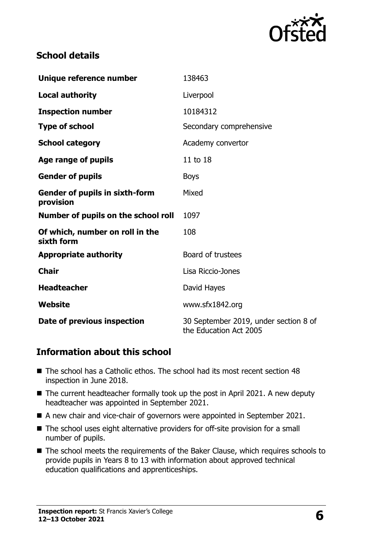

#### **School details**

| Unique reference number                            | 138463                                                          |  |
|----------------------------------------------------|-----------------------------------------------------------------|--|
| <b>Local authority</b>                             | Liverpool                                                       |  |
| <b>Inspection number</b>                           | 10184312                                                        |  |
| <b>Type of school</b>                              | Secondary comprehensive                                         |  |
| <b>School category</b>                             | Academy convertor                                               |  |
| Age range of pupils                                | 11 to 18                                                        |  |
| <b>Gender of pupils</b>                            | <b>Boys</b>                                                     |  |
| <b>Gender of pupils in sixth-form</b><br>provision | Mixed                                                           |  |
| Number of pupils on the school roll                | 1097                                                            |  |
| Of which, number on roll in the<br>sixth form      | 108                                                             |  |
| <b>Appropriate authority</b>                       | Board of trustees                                               |  |
| <b>Chair</b>                                       | Lisa Riccio-Jones                                               |  |
| <b>Headteacher</b>                                 | David Hayes                                                     |  |
| Website                                            | www.sfx1842.org                                                 |  |
| Date of previous inspection                        | 30 September 2019, under section 8 of<br>the Education Act 2005 |  |

#### **Information about this school**

- The school has a Catholic ethos. The school had its most recent section 48 inspection in June 2018.
- The current headteacher formally took up the post in April 2021. A new deputy headteacher was appointed in September 2021.
- A new chair and vice-chair of governors were appointed in September 2021.
- The school uses eight alternative providers for off-site provision for a small number of pupils.
- The school meets the requirements of the Baker Clause, which requires schools to provide pupils in Years 8 to 13 with information about approved technical education qualifications and apprenticeships.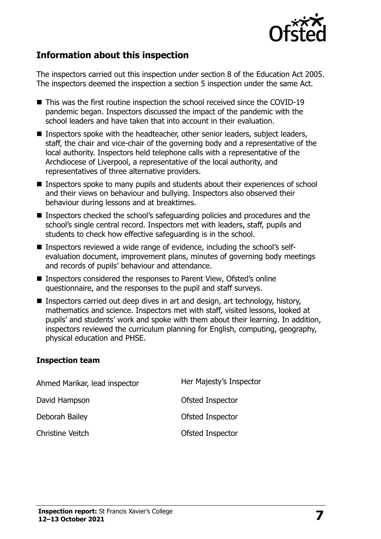

### **Information about this inspection**

The inspectors carried out this inspection under section 8 of the Education Act 2005. The inspectors deemed the inspection a section 5 inspection under the same Act.

- This was the first routine inspection the school received since the COVID-19 pandemic began. Inspectors discussed the impact of the pandemic with the school leaders and have taken that into account in their evaluation.
- Inspectors spoke with the headteacher, other senior leaders, subject leaders, staff, the chair and vice-chair of the governing body and a representative of the local authority. Inspectors held telephone calls with a representative of the Archdiocese of Liverpool, a representative of the local authority, and representatives of three alternative providers.
- Inspectors spoke to many pupils and students about their experiences of school and their views on behaviour and bullying. Inspectors also observed their behaviour during lessons and at breaktimes.
- Inspectors checked the school's safeguarding policies and procedures and the school's single central record. Inspectors met with leaders, staff, pupils and students to check how effective safeguarding is in the school.
- Inspectors reviewed a wide range of evidence, including the school's selfevaluation document, improvement plans, minutes of governing body meetings and records of pupils' behaviour and attendance.
- Inspectors considered the responses to Parent View, Ofsted's online questionnaire, and the responses to the pupil and staff surveys.
- Inspectors carried out deep dives in art and design, art technology, history, mathematics and science. Inspectors met with staff, visited lessons, looked at pupils' and students' work and spoke with them about their learning. In addition, inspectors reviewed the curriculum planning for English, computing, geography, physical education and PHSE.

#### **Inspection team**

| Ahmed Marikar, lead inspector | Her Majesty's Inspector |
|-------------------------------|-------------------------|
| David Hampson                 | Ofsted Inspector        |
| Deborah Bailey                | Ofsted Inspector        |
| <b>Christine Veitch</b>       | Ofsted Inspector        |